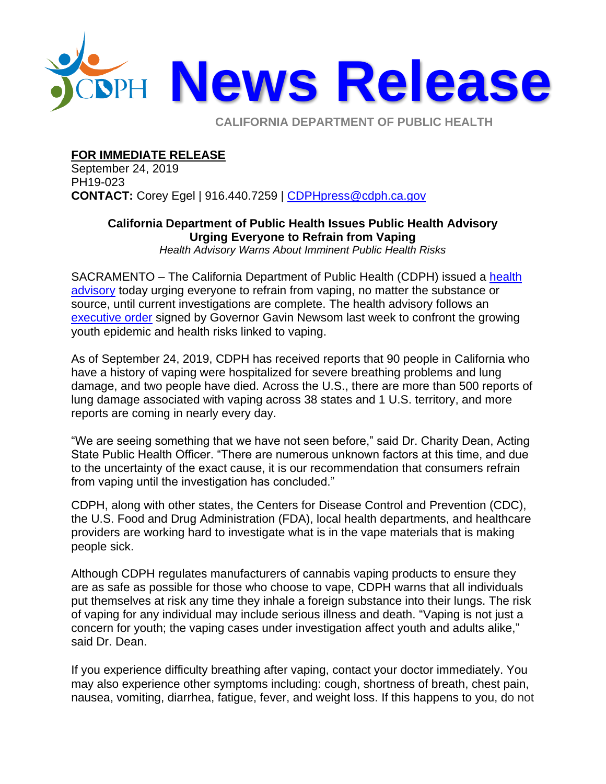

**CALIFORNIA DEPARTMENT OF PUBLIC HEALTH** 

**FOR IMMEDIATE RELEASE**

September 24, 2019 PH19-023 **CONTACT:** Corey Egel | 916.440.7259 | [CDPHpress@cdph.ca.gov](mailto:CDPHpress@cdph.ca.gov)

## **California Department of Public Health Issues Public Health Advisory Urging Everyone to Refrain from Vaping**

*Health Advisory Warns About Imminent Public Health Risks*

SACRAMENTO – The California Department of Public Health (CDPH) issued a [health](https://www.cdph.ca.gov/Programs/CCDPHP/Pages/Vaping-Health-Advisory.aspx)  [advisory](https://www.cdph.ca.gov/Programs/CCDPHP/Pages/Vaping-Health-Advisory.aspx) today urging everyone to refrain from vaping, no matter the substance or source, until current investigations are complete. The health advisory follows an [executive order](https://www.gov.ca.gov/2019/09/16/governor-gavin-newsom-signs-executive-order-to-confront-youth-vaping-epidemic/) signed by Governor Gavin Newsom last week to confront the growing youth epidemic and health risks linked to vaping.

As of September 24, 2019, CDPH has received reports that 90 people in California who have a history of vaping were hospitalized for severe breathing problems and lung damage, and two people have died. Across the U.S., there are more than 500 reports of lung damage associated with vaping across 38 states and 1 U.S. territory, and more reports are coming in nearly every day.

"We are seeing something that we have not seen before," said Dr. Charity Dean, Acting State Public Health Officer. "There are numerous unknown factors at this time, and due to the uncertainty of the exact cause, it is our recommendation that consumers refrain from vaping until the investigation has concluded."

CDPH, along with other states, the Centers for Disease Control and Prevention (CDC), the U.S. Food and Drug Administration (FDA), local health departments, and healthcare providers are working hard to investigate what is in the vape materials that is making people sick.

Although CDPH regulates manufacturers of cannabis vaping products to ensure they are as safe as possible for those who choose to vape, CDPH warns that all individuals put themselves at risk any time they inhale a foreign substance into their lungs. The risk of vaping for any individual may include serious illness and death. "Vaping is not just a concern for youth; the vaping cases under investigation affect youth and adults alike," said Dr. Dean.

If you experience difficulty breathing after vaping, contact your doctor immediately. You may also experience other symptoms including: cough, shortness of breath, chest pain, nausea, vomiting, diarrhea, fatigue, fever, and weight loss. If this happens to you, do not